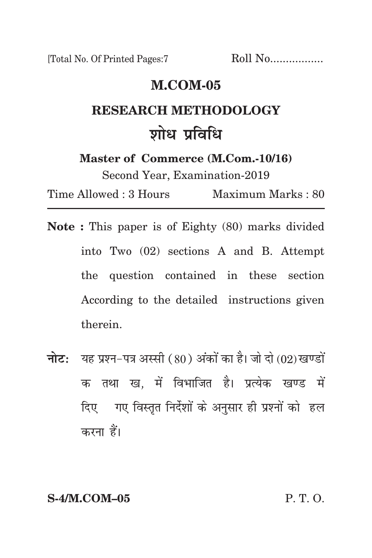[Total No. Of Printed Pages:7 Roll No.................

# **m.com-05**

# **Research methodology** <u>शोध प्रविधि</u>

**Master of Commerce (M.Com.-10/16)**

Second Year, Examination-2019

Time Allowed : 3 Hours Maximum Marks : 80

- **Note :** This paper is of Eighty (80) marks divided into Two (02) sections A and B. Attempt the question contained in these section According to the detailed instructions given therein.
- **नोट:** यह प्रश्न-पत्र अस्सी (80) अंकों का है। जो दो (02) खण्डों क तथा ख. में विभाजित है। प्रत्येक खण्ड में दिए गए विस्तृत निर्देशों के अनुसार ही प्रश्नों को हल करना हैं।

**S-4/M.COM–05** P. T. O.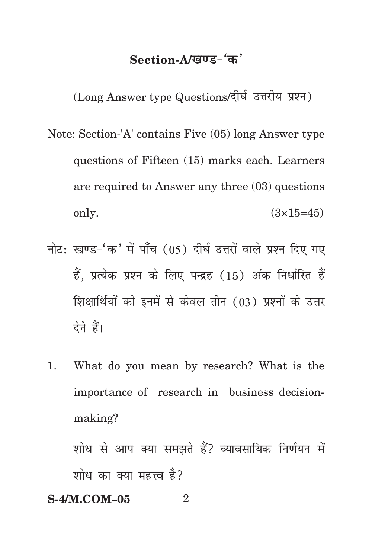# Section-A/<u>खण्ड-</u>'क'

(Long Answer type Questions/दीर्घ उत्तरीय प्रश्न)

- Note: Section-'A' contains Five (05) long Answer type questions of Fifteen (15) marks each. Learners are required to Answer any three (03) questions only.  $(3 \times 15 = 45)$
- नोट: खण्ड-'क' में पाँच (05) दीर्घ उत्तरों वाले प्रश्न दिए गए हैं. प्रत्येक प्रश्न के लिए पन्द्रह (15) अंक निर्धारित हैं शिक्षार्थियों को इनमें से केवल तीन (03) प्रश्नों के उत्तर देने हैं।
- 1. What do you mean by research? What is the importance of research in business decisionmaking?

शोध से आप क्या समझते हैं? व्यावसायिक निर्णयन में शोध का क्या महत्त्व है?

# **S-4/M.COM–05** 2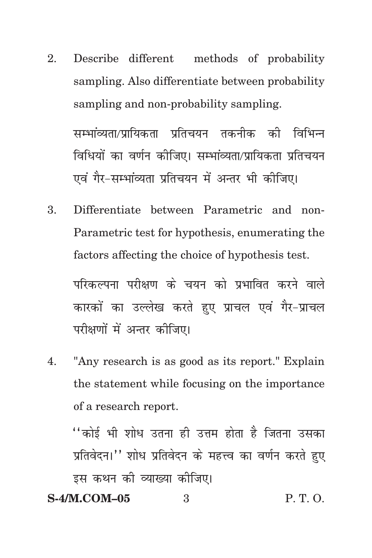Describe different  $2.$ methods of probability sampling. Also differentiate between probability sampling and non-probability sampling. सम्भाव्यता/प्रायिकता प्रतिचयन तकनीक की विभिन्न विधियों का वर्णन कीजिए। सम्भांव्यता/प्रायिकता प्रतिचयन

एवं गैर-सम्भांव्यता प्रतिचयन में अन्तर भी कोजिए।

Differentiate between Parametric and non- $\mathcal{R}_{\cdot}$ Parametric test for hypothesis, enumerating the factors affecting the choice of hypothesis test.

परिकल्पना परीक्षण के चयन को प्रभावित करने वाले कारकों का उल्लेख करते हुए प्राचल एवं गैर-प्राचल परीक्षणों में अन्तर कीजिए।

"Any research is as good as its report." Explain 4. the statement while focusing on the importance of a research report.

''कोई भी शोध उतना ही उत्तम होता है जितना उसका प्रतिवेदन।'' शोध प्रतिवेदन के महत्त्व का वर्णन करते हुए इस कथन को व्याख्या कोजिए।

#### **S-4/M.COM-05**  $P, T, O.$  $\mathcal{S}$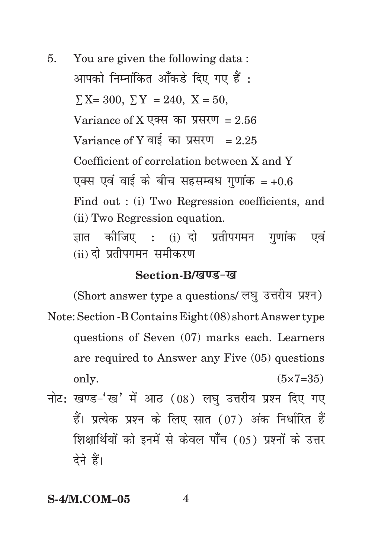5. You are given the following data : आपको निम्नांकित आँकडे दिए गए हैं :  $\Sigma X = 300$ ,  $\Sigma Y = 240$ ,  $X = 50$ , Variance of X एक्स का प्रसरण = 2.56 Variance of Y वाई का प्रसरण =  $2.25$ Coefficient of correlation between X and Y एक्स एवं वाई के बीच सहसम्बंध गणांक =  $+0.6$ Find out : (i) Two Regression coefficients, and (ii) Two Regression equation. ज्ञात कीजिए : (i) दो प्रतीपगमन गणांक एवं (ii) दो प्रतीपगमन समीकरण

### **Section-B/***ख***ण्ड-ख**

(Short answer type a questions/ लघु उत्तरीय प्रश्न) Note: Section -B Contains Eight (08) short Answer type questions of Seven (07) marks each. Learners are required to Answer any Five (05) questions only.  $(5 \times 7 = 35)$ 

नोट: खण्ड-'ख' में आठ (08) लघ उत्तरीय प्रश्न दिए गए हैं। प्रत्येक प्रश्न के लिए सात (07) अंक निर्धारित हैं <u>शिक्षार्थियों को इनमें से केवल पाँच (05) प्रश्नों के उत्तर</u> देने हैं।

## **S-4/M.COM-05** 4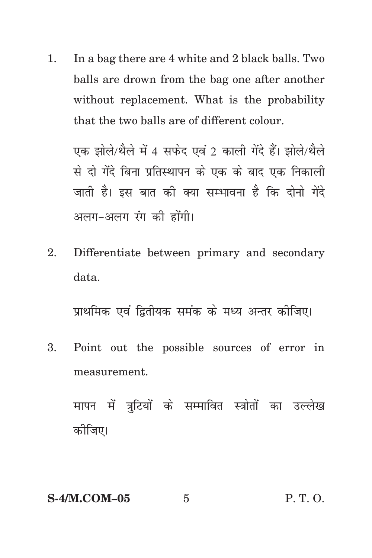In a bag there are 4 white and 2 black balls. Two  $1.$ balls are drown from the bag one after another without replacement. What is the probability that the two balls are of different colour.

एक झोले/थैले में 4 सफेद एवं 2 काली गेंदे हैं। झोले/थैले से दो गेंदे बिना प्रतिस्थापन के एक के बाद एक निकाली जाती है। इस बात की क्या सम्भावना है कि दोनो गेंदे अलग-अलग रंग की होंगी।

Differentiate between primary and secondary  $2.$ data

प्राथमिक एवं द्वितीयक समंक के मध्य अन्तर कीजिए।

Point out the possible sources of error in  $\mathbf{R}$ measurement

मापन में त्रूटियों के सम्मावित स्त्रोतों का उल्लेख कोजिए।

**S-4/M.COM-05**  $\overline{5}$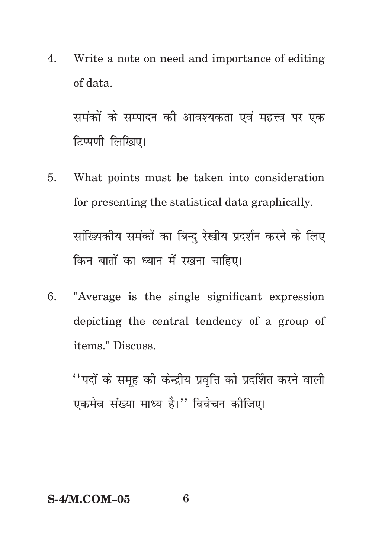Write a note on need and importance of editing 4. of data.

समंकों के सम्पादन की आवश्यकता एवं महत्त्व पर एक टिप्पणी लिखिए।

- What points must be taken into consideration 5. for presenting the statistical data graphically. सांख्यिकीय समंकों का बिन्दु रेखीय प्रदर्शन करने के लिए किन बातों का ध्यान में रखना चाहिए।
- $6<sup>1</sup>$ "Average is the single significant expression depicting the central tendency of a group of items." Discuss.

''पदों के समूह की केन्द्रीय प्रवृत्ति को प्रदर्शित करने वाली एकमेव संख्या माध्य है।" विवेचन कीजिए।

### **S-4/M.COM-05**